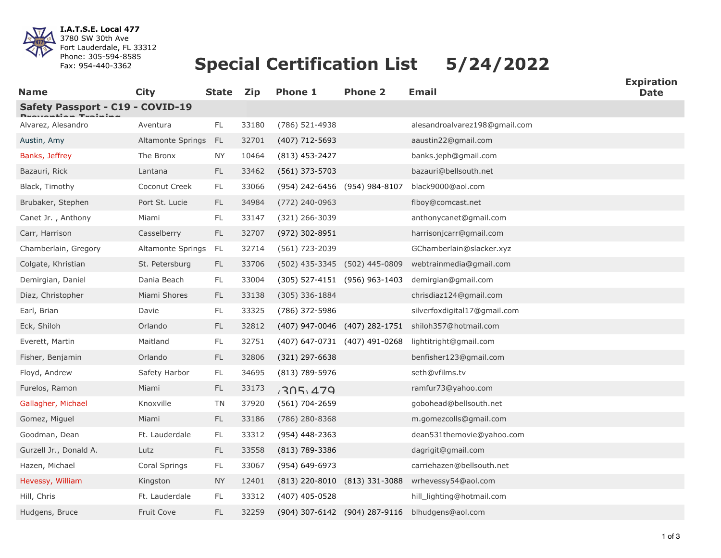

**I.A.T.S.E. Local 477** 3780 SW 30th Ave Fort Lauderdale, FL 33312 Phone: 305-594-8585 Fax: 954-440-3362

## **Special Certification List 5/24/2022**

| <b>Name</b>                      | <b>City</b>       | <b>State</b>  | <b>Zip</b> | <b>Phone 1</b>                | <b>Phone 2</b>                | <b>Email</b>                  | ∟лрпч<br><b>Date</b> |
|----------------------------------|-------------------|---------------|------------|-------------------------------|-------------------------------|-------------------------------|----------------------|
| Safety Passport - C19 - COVID-19 |                   |               |            |                               |                               |                               |                      |
| Alvarez, Alesandro               | Aventura          | FL            | 33180      | (786) 521-4938                |                               | alesandroalvarez198@gmail.com |                      |
| Austin, Amy                      | Altamonte Springs | - FL          | 32701      | (407) 712-5693                |                               | aaustin22@gmail.com           |                      |
| Banks, Jeffrey                   | The Bronx         | ΝY            | 10464      | $(813)$ 453-2427              |                               | banks.jeph@gmail.com          |                      |
| Bazauri, Rick                    | Lantana           | FL.           | 33462      | (561) 373-5703                |                               | bazauri@bellsouth.net         |                      |
| Black, Timothy                   | Coconut Creek     | FL            | 33066      | (954) 242-6456 (954) 984-8107 |                               | black9000@aol.com             |                      |
| Brubaker, Stephen                | Port St. Lucie    | <b>FL</b>     | 34984      | (772) 240-0963                |                               | flboy@comcast.net             |                      |
| Canet Jr., Anthony               | Miami             | FL.           | 33147      | (321) 266-3039                |                               | anthonycanet@gmail.com        |                      |
| Carr, Harrison                   | Casselberry       | <b>FL</b>     | 32707      | (972) 302-8951                |                               | harrisonjcarr@gmail.com       |                      |
| Chamberlain, Gregory             | Altamonte Springs | - FL          | 32714      | (561) 723-2039                |                               | GChamberlain@slacker.xyz      |                      |
| Colgate, Khristian               | St. Petersburg    | FL            | 33706      |                               | (502) 435-3345 (502) 445-0809 | webtrainmedia@gmail.com       |                      |
| Demirgian, Daniel                | Dania Beach       | FL            | 33004      |                               | (305) 527-4151 (956) 963-1403 | demirgian@gmail.com           |                      |
| Diaz, Christopher                | Miami Shores      | <b>FL</b>     | 33138      | $(305)$ 336-1884              |                               | chrisdiaz124@gmail.com        |                      |
| Earl, Brian                      | Davie             | FL            | 33325      | (786) 372-5986                |                               | silverfoxdigital17@gmail.com  |                      |
| Eck, Shiloh                      | Orlando           | $\mathsf{FL}$ | 32812      |                               | (407) 947-0046 (407) 282-1751 | shiloh357@hotmail.com         |                      |
| Everett, Martin                  | Maitland          | FL            | 32751      |                               | (407) 647-0731 (407) 491-0268 | lightitright@gmail.com        |                      |
| Fisher, Benjamin                 | Orlando           | FL            | 32806      | (321) 297-6638                |                               | benfisher123@gmail.com        |                      |
| Floyd, Andrew                    | Safety Harbor     | FL            | 34695      | (813) 789-5976                |                               | seth@vfilms.tv                |                      |
| Furelos, Ramon                   | Miami             | <b>FL</b>     | 33173      | 705.479                       |                               | ramfur73@yahoo.com            |                      |
| Gallagher, Michael               | Knoxville         | TN            | 37920      | (561) 704-2659                |                               | gobohead@bellsouth.net        |                      |
| Gomez, Miguel                    | Miami             | FL            | 33186      | $(786)$ 280-8368              |                               | m.gomezcolls@gmail.com        |                      |
| Goodman, Dean                    | Ft. Lauderdale    | FL            | 33312      | (954) 448-2363                |                               | dean531themovie@yahoo.com     |                      |
| Gurzell Jr., Donald A.           | Lutz              | FL.           | 33558      | $(813)$ 789-3386              |                               | dagrigit@gmail.com            |                      |
| Hazen, Michael                   | Coral Springs     | FL.           | 33067      | (954) 649-6973                |                               | carriehazen@bellsouth.net     |                      |
| Hevessy, William                 | Kingston          | <b>NY</b>     | 12401      |                               | (813) 220-8010 (813) 331-3088 | wrhevessy54@aol.com           |                      |
| Hill, Chris                      | Ft. Lauderdale    | FL            | 33312      | $(407)$ 405-0528              |                               | hill_lighting@hotmail.com     |                      |
| Hudgens, Bruce                   | Fruit Cove        | <b>FL</b>     | 32259      |                               | (904) 307-6142 (904) 287-9116 | blhudgens@aol.com             |                      |

**Expiration**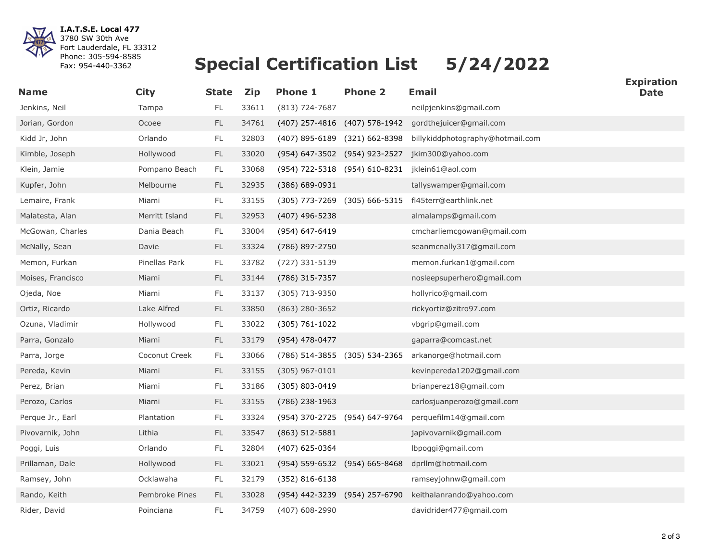

**I.A.T.S.E. Local 477** 3780 SW 30th Ave Fort Lauderdale, FL 33312 Phone: 305-594-8585 Fax: 954-440-3362

## **Special Certification List 5/24/2022**

| <b>Name</b>       | <b>City</b>    | <b>State</b>  | <b>Zip</b> | <b>Phone 1</b>                | <b>Phone 2</b>                | <b>Email</b>                                                   | <b>Date</b> |
|-------------------|----------------|---------------|------------|-------------------------------|-------------------------------|----------------------------------------------------------------|-------------|
| Jenkins, Neil     | Tampa          | FL            | 33611      | $(813) 724 - 7687$            |                               | neilpjenkins@gmail.com                                         |             |
| Jorian, Gordon    | Ocoee          | FL            | 34761      |                               | (407) 257-4816 (407) 578-1942 | gordthejuicer@gmail.com                                        |             |
| Kidd Jr, John     | Orlando        | FL.           | 32803      |                               |                               | (407) 895-6189 (321) 662-8398 billykiddphotography@hotmail.com |             |
| Kimble, Joseph    | Hollywood      | $\mathsf{FL}$ | 33020      |                               | (954) 647-3502 (954) 923-2527 | jkim300@yahoo.com                                              |             |
| Klein, Jamie      | Pompano Beach  | FL.           | 33068      |                               | (954) 722-5318 (954) 610-8231 | jklein61@aol.com                                               |             |
| Kupfer, John      | Melbourne      | FL            | 32935      | $(386) 689 - 0931$            |                               | tallyswamper@gmail.com                                         |             |
| Lemaire, Frank    | Miami          | $\mathsf{FL}$ | 33155      | (305) 773-7269 (305) 666-5315 |                               | fl45terr@earthlink.net                                         |             |
| Malatesta, Alan   | Merritt Island | <b>FL</b>     | 32953      | $(407)$ 496-5238              |                               | almalamps@gmail.com                                            |             |
| McGowan, Charles  | Dania Beach    | FL            | 33004      | (954) 647-6419                |                               | cmcharliemcgowan@gmail.com                                     |             |
| McNally, Sean     | Davie          | FL            | 33324      | (786) 897-2750                |                               | seanmcnally317@gmail.com                                       |             |
| Memon, Furkan     | Pinellas Park  | FL.           | 33782      | (727) 331-5139                |                               | memon.furkan1@gmail.com                                        |             |
| Moises, Francisco | Miami          | FL            | 33144      | (786) 315-7357                |                               | nosleepsuperhero@gmail.com                                     |             |
| Ojeda, Noe        | Miami          | FL            | 33137      | (305) 713-9350                |                               | hollyrico@gmail.com                                            |             |
| Ortiz, Ricardo    | Lake Alfred    | FL            | 33850      | $(863)$ 280-3652              |                               | rickyortiz@zitro97.com                                         |             |
| Ozuna, Vladimir   | Hollywood      | FL            | 33022      | $(305) 761 - 1022$            |                               | vbgrip@gmail.com                                               |             |
| Parra, Gonzalo    | Miami          | FL            | 33179      | (954) 478-0477                |                               | gaparra@comcast.net                                            |             |
| Parra, Jorge      | Coconut Creek  | <b>FL</b>     | 33066      | (786) 514-3855 (305) 534-2365 |                               | arkanorge@hotmail.com                                          |             |
| Pereda, Kevin     | Miami          | FL.           | 33155      | $(305)$ 967-0101              |                               | kevinpereda1202@gmail.com                                      |             |
| Perez, Brian      | Miami          | FL            | 33186      | (305) 803-0419                |                               | brianperez18@gmail.com                                         |             |
| Perozo, Carlos    | Miami          | $\mathsf{FL}$ | 33155      | $(786)$ 238-1963              |                               | carlosjuanperozo@gmail.com                                     |             |
| Perque Jr., Earl  | Plantation     | $\mathsf{FL}$ | 33324      | (954) 370-2725 (954) 647-9764 |                               | perquefilm14@gmail.com                                         |             |
| Pivovarnik, John  | Lithia         | <b>FL</b>     | 33547      | $(863) 512 - 5881$            |                               | japivovarnik@gmail.com                                         |             |
| Poggi, Luis       | Orlando        | FL            | 32804      | (407) 625-0364                |                               | lbpoggi@gmail.com                                              |             |
| Prillaman, Dale   | Hollywood      | FL            | 33021      | (954) 559-6532 (954) 665-8468 |                               | dprllm@hotmail.com                                             |             |
| Ramsey, John      | Ocklawaha      | $\mathsf{FL}$ | 32179      | $(352) 816 - 6138$            |                               | ramseyjohnw@gmail.com                                          |             |
| Rando, Keith      | Pembroke Pines | <b>FL</b>     | 33028      |                               | (954) 442-3239 (954) 257-6790 | keithalanrando@yahoo.com                                       |             |
| Rider, David      | Poinciana      | FL            | 34759      | (407) 608-2990                |                               | davidrider477@gmail.com                                        |             |

**Expiration**